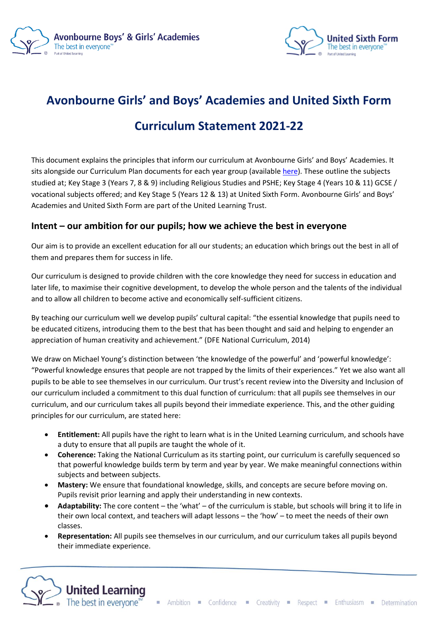



# **Avonbourne Girls' and Boys' Academies and United Sixth Form**

## **Curriculum Statement 2021-22**

This document explains the principles that inform our curriculum at Avonbourne Girls' and Boys' Academies. It sits alongside our Curriculum Plan documents for each year group (available [here\)](https://www.avonbournegirlsacademy.org.uk/about-us/curriculum). These outline the subjects studied at; Key Stage 3 (Years 7, 8 & 9) including Religious Studies and PSHE; Key Stage 4 (Years 10 & 11) GCSE / vocational subjects offered; and Key Stage 5 (Years 12 & 13) at United Sixth Form. Avonbourne Girls' and Boys' Academies and United Sixth Form are part of the United Learning Trust.

#### **Intent – our ambition for our pupils; how we achieve the best in everyone**

Our aim is to provide an excellent education for all our students; an education which brings out the best in all of them and prepares them for success in life.

Our curriculum is designed to provide children with the core knowledge they need for success in education and later life, to maximise their cognitive development, to develop the whole person and the talents of the individual and to allow all children to become active and economically self-sufficient citizens.

By teaching our curriculum well we develop pupils' cultural capital: "the essential knowledge that pupils need to be educated citizens, introducing them to the best that has been thought and said and helping to engender an appreciation of human creativity and achievement." (DFE National Curriculum, 2014)

We draw on Michael Young's distinction between 'the knowledge of the powerful' and 'powerful knowledge': "Powerful knowledge ensures that people are not trapped by the limits of their experiences." Yet we also want all pupils to be able to see themselves in our curriculum. Our trust's recent review into the Diversity and Inclusion of our curriculum included a commitment to this dual function of curriculum: that all pupils see themselves in our curriculum, and our curriculum takes all pupils beyond their immediate experience. This, and the other guiding principles for our curriculum, are stated here:

- **Entitlement:** All pupils have the right to learn what is in the United Learning curriculum, and schools have a duty to ensure that all pupils are taught the whole of it.
- **Coherence:** Taking the National Curriculum as its starting point, our curriculum is carefully sequenced so that powerful knowledge builds term by term and year by year. We make meaningful connections within subjects and between subjects.
- **Mastery:** We ensure that foundational knowledge, skills, and concepts are secure before moving on. Pupils revisit prior learning and apply their understanding in new contexts.
- **Adaptability:** The core content the 'what' of the curriculum is stable, but schools will bring it to life in their own local context, and teachers will adapt lessons – the 'how' – to meet the needs of their own classes.
- **Representation:** All pupils see themselves in our curriculum, and our curriculum takes all pupils beyond their immediate experience.

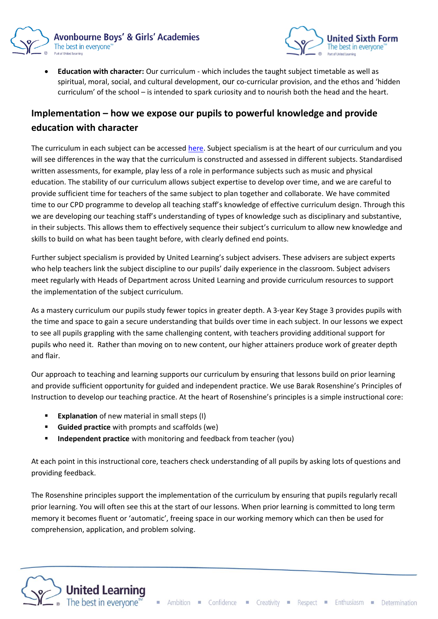



• **Education with character:** Our curriculum - which includes the taught subject timetable as well as spiritual, moral, social, and cultural development, our co-curricular provision, and the ethos and 'hidden curriculum' of the school – is intended to spark curiosity and to nourish both the head and the heart.

### **Implementation – how we expose our pupils to powerful knowledge and provide education with character**

The curriculum in each subject can be accessed [here.](https://www.avonbournegirlsacademy.org.uk/about-us/curriculum) Subject specialism is at the heart of our curriculum and you will see differences in the way that the curriculum is constructed and assessed in different subjects. Standardised written assessments, for example, play less of a role in performance subjects such as music and physical education. The stability of our curriculum allows subject expertise to develop over time, and we are careful to provide sufficient time for teachers of the same subject to plan together and collaborate. We have commited time to our CPD programme to develop all teaching staff's knowledge of effective curriculum design. Through this we are developing our teaching staff's understanding of types of knowledge such as disciplinary and substantive, in their subjects. This allows them to effectively sequence their subject's curriculum to allow new knowledge and skills to build on what has been taught before, with clearly defined end points.

Further subject specialism is provided by United Learning's subject advisers. These advisers are subject experts who help teachers link the subject discipline to our pupils' daily experience in the classroom. Subject advisers meet regularly with Heads of Department across United Learning and provide curriculum resources to support the implementation of the subject curriculum.

As a mastery curriculum our pupils study fewer topics in greater depth. A 3-year Key Stage 3 provides pupils with the time and space to gain a secure understanding that builds over time in each subject. In our lessons we expect to see all pupils grappling with the same challenging content, with teachers providing additional support for pupils who need it. Rather than moving on to new content, our higher attainers produce work of greater depth and flair.

Our approach to teaching and learning supports our curriculum by ensuring that lessons build on prior learning and provide sufficient opportunity for guided and independent practice. We use Barak Rosenshine's Principles of Instruction to develop our teaching practice. At the heart of Rosenshine's principles is a simple instructional core:

- **Explanation** of new material in small steps (I)
- **Guided practice** with prompts and scaffolds (we)
- **Independent practice** with monitoring and feedback from teacher (you)

At each point in this instructional core, teachers check understanding of all pupils by asking lots of questions and providing feedback.

The Rosenshine principles support the implementation of the curriculum by ensuring that pupils regularly recall prior learning. You will often see this at the start of our lessons. When prior learning is committed to long term memory it becomes fluent or 'automatic', freeing space in our working memory which can then be used for comprehension, application, and problem solving.